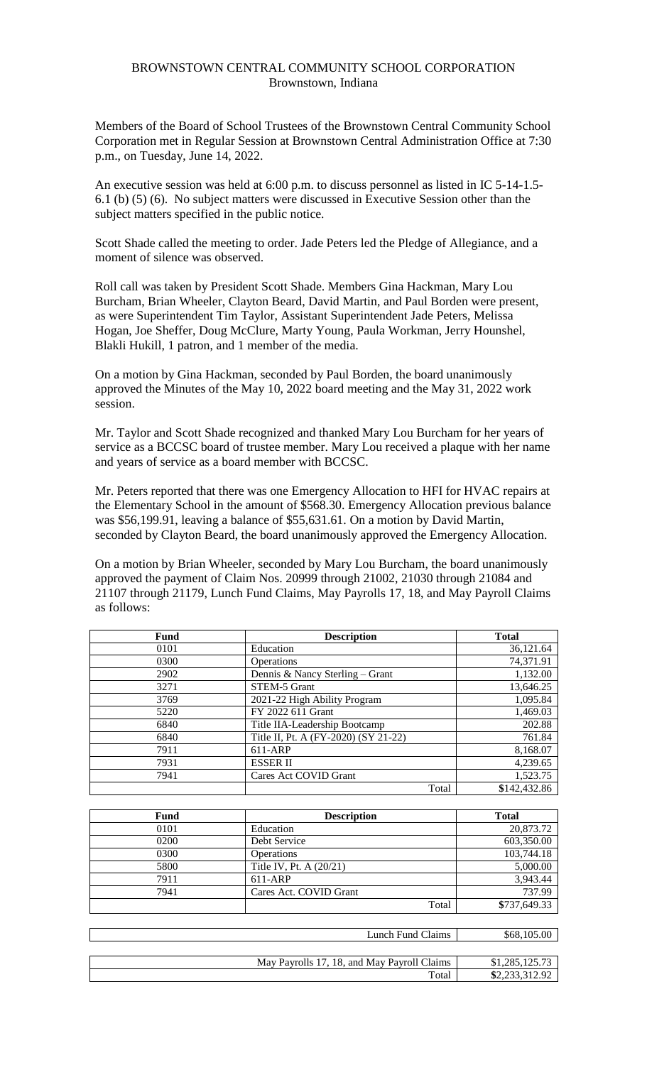# BROWNSTOWN CENTRAL COMMUNITY SCHOOL CORPORATION Brownstown, Indiana

Members of the Board of School Trustees of the Brownstown Central Community School Corporation met in Regular Session at Brownstown Central Administration Office at 7:30 p.m., on Tuesday, June 14, 2022.

An executive session was held at 6:00 p.m. to discuss personnel as listed in IC 5-14-1.5- 6.1 (b) (5) (6). No subject matters were discussed in Executive Session other than the subject matters specified in the public notice.

Scott Shade called the meeting to order. Jade Peters led the Pledge of Allegiance, and a moment of silence was observed.

Roll call was taken by President Scott Shade. Members Gina Hackman, Mary Lou Burcham, Brian Wheeler, Clayton Beard, David Martin, and Paul Borden were present, as were Superintendent Tim Taylor, Assistant Superintendent Jade Peters, Melissa Hogan, Joe Sheffer, Doug McClure, Marty Young, Paula Workman, Jerry Hounshel, Blakli Hukill, 1 patron, and 1 member of the media.

On a motion by Gina Hackman, seconded by Paul Borden, the board unanimously approved the Minutes of the May 10, 2022 board meeting and the May 31, 2022 work session.

Mr. Taylor and Scott Shade recognized and thanked Mary Lou Burcham for her years of service as a BCCSC board of trustee member. Mary Lou received a plaque with her name and years of service as a board member with BCCSC.

Mr. Peters reported that there was one Emergency Allocation to HFI for HVAC repairs at the Elementary School in the amount of \$568.30. Emergency Allocation previous balance was \$56,199.91, leaving a balance of \$55,631.61. On a motion by David Martin, seconded by Clayton Beard, the board unanimously approved the Emergency Allocation.

On a motion by Brian Wheeler, seconded by Mary Lou Burcham, the board unanimously approved the payment of Claim Nos. 20999 through 21002, 21030 through 21084 and 21107 through 21179, Lunch Fund Claims, May Payrolls 17, 18, and May Payroll Claims as follows:

| Fund | <b>Description</b>                   | <b>Total</b> |
|------|--------------------------------------|--------------|
| 0101 | Education                            | 36,121.64    |
| 0300 | <b>Operations</b>                    | 74,371.91    |
| 2902 | Dennis & Nancy Sterling – Grant      | 1,132.00     |
| 3271 | STEM-5 Grant                         | 13,646.25    |
| 3769 | 2021-22 High Ability Program         | 1,095.84     |
| 5220 | FY 2022 611 Grant                    | 1,469.03     |
| 6840 | Title IIA-Leadership Bootcamp        | 202.88       |
| 6840 | Title II, Pt. A (FY-2020) (SY 21-22) | 761.84       |
| 7911 | $611-ARP$                            | 8,168.07     |
| 7931 | <b>ESSER II</b>                      | 4,239.65     |
| 7941 | Cares Act COVID Grant                | 1,523.75     |
|      | Total                                | \$142,432.86 |

| Fund | <b>Description</b>      | <b>Total</b> |
|------|-------------------------|--------------|
| 0101 | Education               | 20,873.72    |
| 0200 | Debt Service            | 603,350.00   |
| 0300 | <b>Operations</b>       | 103,744.18   |
| 5800 | Title IV, Pt. A (20/21) | 5,000.00     |
| 7911 | 611-ARP                 | 3,943.44     |
| 7941 | Cares Act. COVID Grant  | 737.99       |
|      | Total                   | \$737,649.33 |

| Lunch Fund Claims                           | \$68,105.00    |
|---------------------------------------------|----------------|
|                                             |                |
| May Payrolls 17, 18, and May Payroll Claims | \$1,285,125.73 |
| Total.                                      | \$2,233,312.92 |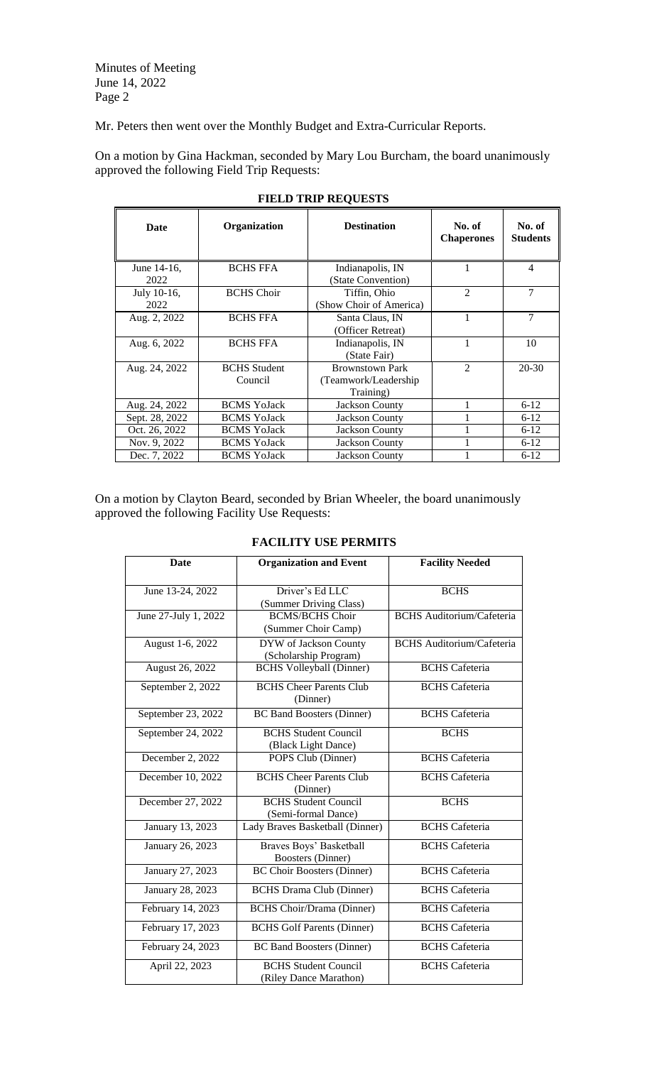Minutes of Meeting June 14, 2022 Page 2

Mr. Peters then went over the Monthly Budget and Extra-Curricular Reports.

On a motion by Gina Hackman, seconded by Mary Lou Burcham, the board unanimously approved the following Field Trip Requests:

| Date                | Organization                   | <b>Destination</b>                                           | No. of<br><b>Chaperones</b> | No. of<br><b>Students</b> |
|---------------------|--------------------------------|--------------------------------------------------------------|-----------------------------|---------------------------|
| June 14-16,<br>2022 | <b>BCHS FFA</b>                | Indianapolis, IN<br>(State Convention)                       |                             | 4                         |
| July 10-16,<br>2022 | <b>BCHS</b> Choir              | Tiffin, Ohio<br>(Show Choir of America)                      | $\mathfrak{D}$              | 7                         |
| Aug. 2, 2022        | <b>BCHS FFA</b>                | Santa Claus, IN<br>(Officer Retreat)                         | 1                           | $\overline{7}$            |
| Aug. 6, 2022        | <b>BCHS FFA</b>                | Indianapolis, IN<br>(State Fair)                             |                             | 10                        |
| Aug. 24, 2022       | <b>BCHS</b> Student<br>Council | <b>Brownstown Park</b><br>(Teamwork/Leadership)<br>Training) | $\mathfrak{D}$              | $20 - 30$                 |
| Aug. 24, 2022       | <b>BCMS</b> YoJack             | <b>Jackson County</b>                                        |                             | $6 - 12$                  |
| Sept. 28, 2022      | <b>BCMS</b> YoJack             | <b>Jackson County</b>                                        |                             | $6 - 12$                  |
| Oct. 26, 2022       | <b>BCMS</b> YoJack             | <b>Jackson County</b>                                        |                             | $6 - 12$                  |
| Nov. 9, 2022        | <b>BCMS</b> YoJack             | <b>Jackson County</b>                                        |                             | $6 - 12$                  |
| Dec. 7, 2022        | <b>BCMS YoJack</b>             | <b>Jackson County</b>                                        |                             | $6 - 12$                  |

### **FIELD TRIP REQUESTS**

On a motion by Clayton Beard, seconded by Brian Wheeler, the board unanimously approved the following Facility Use Requests:

# **FACILITY USE PERMITS**

| <b>Date</b>          | <b>Organization and Event</b>                         | <b>Facility Needed</b>           |
|----------------------|-------------------------------------------------------|----------------------------------|
| June 13-24, 2022     | Driver's Ed LLC<br>(Summer Driving Class)             | <b>BCHS</b>                      |
| June 27-July 1, 2022 | <b>BCMS/BCHS Choir</b><br>(Summer Choir Camp)         | <b>BCHS</b> Auditorium/Cafeteria |
| August 1-6, 2022     | DYW of Jackson County<br>(Scholarship Program)        | <b>BCHS</b> Auditorium/Cafeteria |
| August 26, 2022      | <b>BCHS</b> Volleyball (Dinner)                       | <b>BCHS</b> Cafeteria            |
| September 2, 2022    | <b>BCHS Cheer Parents Club</b><br>(Dinner)            | <b>BCHS</b> Cafeteria            |
| September 23, 2022   | <b>BC Band Boosters (Dinner)</b>                      | <b>BCHS</b> Cafeteria            |
| September 24, 2022   | <b>BCHS Student Council</b><br>(Black Light Dance)    | <b>BCHS</b>                      |
| December 2, 2022     | POPS Club (Dinner)                                    | <b>BCHS</b> Cafeteria            |
| December 10, 2022    | <b>BCHS Cheer Parents Club</b><br>(Dinner)            | <b>BCHS</b> Cafeteria            |
| December 27, 2022    | <b>BCHS</b> Student Council<br>(Semi-formal Dance)    | <b>BCHS</b>                      |
| January 13, 2023     | Lady Braves Basketball (Dinner)                       | <b>BCHS</b> Cafeteria            |
| January 26, 2023     | Braves Boys' Basketball<br><b>Boosters</b> (Dinner)   | <b>BCHS</b> Cafeteria            |
| January 27, 2023     | <b>BC Choir Boosters (Dinner)</b>                     | <b>BCHS</b> Cafeteria            |
| January 28, 2023     | <b>BCHS</b> Drama Club (Dinner)                       | <b>BCHS</b> Cafeteria            |
| February 14, 2023    | <b>BCHS</b> Choir/Drama (Dinner)                      | <b>BCHS</b> Cafeteria            |
| February 17, 2023    | <b>BCHS</b> Golf Parents (Dinner)                     | <b>BCHS</b> Cafeteria            |
| February 24, 2023    | <b>BC Band Boosters (Dinner)</b>                      | <b>BCHS</b> Cafeteria            |
| April 22, 2023       | <b>BCHS Student Council</b><br>(Riley Dance Marathon) | <b>BCHS</b> Cafeteria            |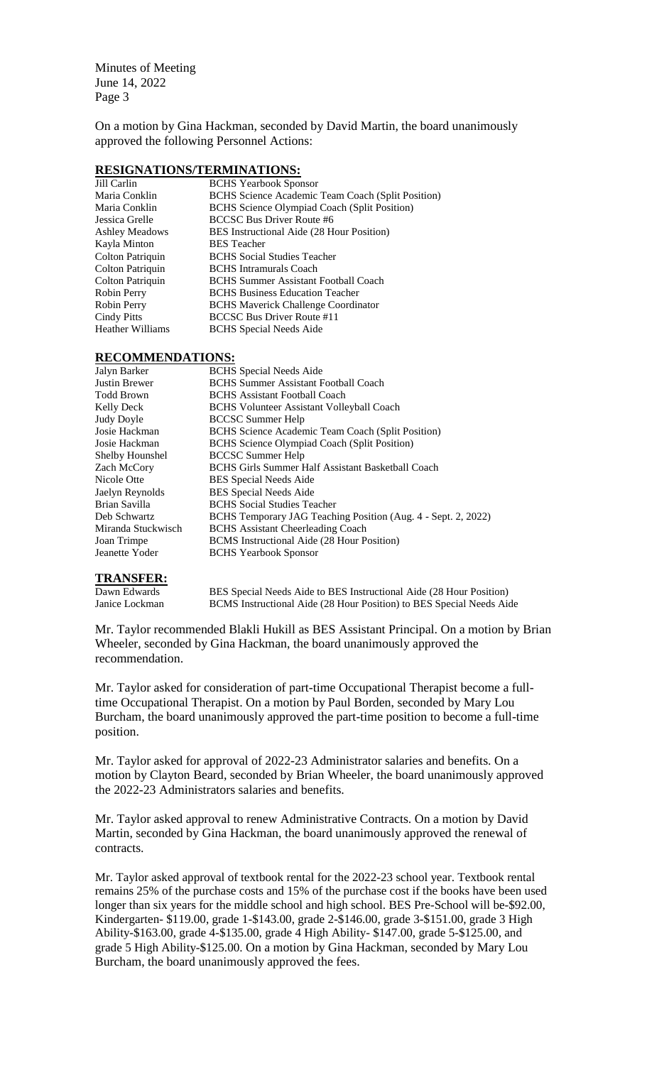Minutes of Meeting June 14, 2022 Page 3

On a motion by Gina Hackman, seconded by David Martin, the board unanimously approved the following Personnel Actions:

#### **RESIGNATIONS/TERMINATIONS:**

| Jill Carlin             | <b>BCHS</b> Yearbook Sponsor                        |
|-------------------------|-----------------------------------------------------|
| Maria Conklin           | BCHS Science Academic Team Coach (Split Position)   |
| Maria Conklin           | <b>BCHS</b> Science Olympiad Coach (Split Position) |
| Jessica Grelle          | <b>BCCSC Bus Driver Route #6</b>                    |
| <b>Ashley Meadows</b>   | BES Instructional Aide (28 Hour Position)           |
| Kayla Minton            | <b>BES</b> Teacher                                  |
| Colton Patriquin        | <b>BCHS</b> Social Studies Teacher                  |
| Colton Patriquin        | <b>BCHS</b> Intramurals Coach                       |
| Colton Patriquin        | <b>BCHS</b> Summer Assistant Football Coach         |
| Robin Perry             | <b>BCHS</b> Business Education Teacher              |
| Robin Perry             | <b>BCHS</b> Maverick Challenge Coordinator          |
| Cindy Pitts             | <b>BCCSC Bus Driver Route #11</b>                   |
| <b>Heather Williams</b> | <b>BCHS</b> Special Needs Aide                      |

#### **RECOMMENDATIONS:**

| Jalyn Barker       | <b>BCHS</b> Special Needs Aide                                |
|--------------------|---------------------------------------------------------------|
| Justin Brewer      | <b>BCHS</b> Summer Assistant Football Coach                   |
| Todd Brown         | <b>BCHS</b> Assistant Football Coach                          |
| Kelly Deck         | <b>BCHS Volunteer Assistant Volleyball Coach</b>              |
| Judy Doyle         | <b>BCCSC Summer Help</b>                                      |
| Josie Hackman      | BCHS Science Academic Team Coach (Split Position)             |
| Josie Hackman      | BCHS Science Olympiad Coach (Split Position)                  |
| Shelby Hounshel    | <b>BCCSC Summer Help</b>                                      |
| Zach McCorv        | <b>BCHS Girls Summer Half Assistant Basketball Coach</b>      |
| Nicole Otte        | <b>BES</b> Special Needs Aide                                 |
| Jaelyn Reynolds    | <b>BES</b> Special Needs Aide                                 |
| Brian Savilla      | <b>BCHS</b> Social Studies Teacher                            |
| Deb Schwartz       | BCHS Temporary JAG Teaching Position (Aug. 4 - Sept. 2, 2022) |
| Miranda Stuckwisch | <b>BCHS</b> Assistant Cheerleading Coach                      |
| Joan Trimpe        | BCMS Instructional Aide (28 Hour Position)                    |
| Jeanette Yoder     | <b>BCHS</b> Yearbook Sponsor                                  |

# **TRANSFER:**

Dawn Edwards BES Special Needs Aide to BES Instructional Aide (28 Hour Position)<br>
Janice Lockman BCMS Instructional Aide (28 Hour Position) to BES Special Needs Aide BCMS Instructional Aide (28 Hour Position) to BES Special Needs Aide

Mr. Taylor recommended Blakli Hukill as BES Assistant Principal. On a motion by Brian Wheeler, seconded by Gina Hackman, the board unanimously approved the recommendation.

Mr. Taylor asked for consideration of part-time Occupational Therapist become a fulltime Occupational Therapist. On a motion by Paul Borden, seconded by Mary Lou Burcham, the board unanimously approved the part-time position to become a full-time position.

Mr. Taylor asked for approval of 2022-23 Administrator salaries and benefits. On a motion by Clayton Beard, seconded by Brian Wheeler, the board unanimously approved the 2022-23 Administrators salaries and benefits.

Mr. Taylor asked approval to renew Administrative Contracts. On a motion by David Martin, seconded by Gina Hackman, the board unanimously approved the renewal of contracts.

Mr. Taylor asked approval of textbook rental for the 2022-23 school year. Textbook rental remains 25% of the purchase costs and 15% of the purchase cost if the books have been used longer than six years for the middle school and high school. BES Pre-School will be-\$92.00, Kindergarten- \$119.00, grade 1-\$143.00, grade 2-\$146.00, grade 3-\$151.00, grade 3 High Ability-\$163.00, grade 4-\$135.00, grade 4 High Ability- \$147.00, grade 5-\$125.00, and grade 5 High Ability-\$125.00. On a motion by Gina Hackman, seconded by Mary Lou Burcham, the board unanimously approved the fees.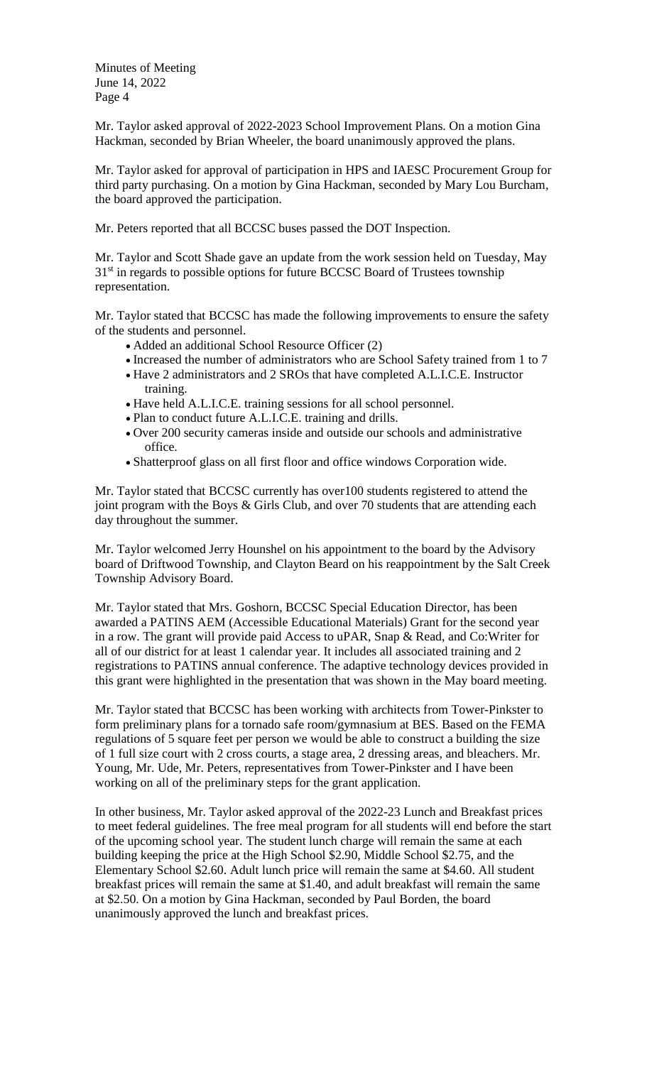Minutes of Meeting June 14, 2022 Page 4

Mr. Taylor asked approval of 2022-2023 School Improvement Plans. On a motion Gina Hackman, seconded by Brian Wheeler, the board unanimously approved the plans.

Mr. Taylor asked for approval of participation in HPS and IAESC Procurement Group for third party purchasing. On a motion by Gina Hackman, seconded by Mary Lou Burcham, the board approved the participation.

Mr. Peters reported that all BCCSC buses passed the DOT Inspection.

Mr. Taylor and Scott Shade gave an update from the work session held on Tuesday, May 31<sup>st</sup> in regards to possible options for future BCCSC Board of Trustees township representation.

Mr. Taylor stated that BCCSC has made the following improvements to ensure the safety of the students and personnel.

- Added an additional School Resource Officer (2)
- Increased the number of administrators who are School Safety trained from 1 to 7
- Have 2 administrators and 2 SROs that have completed A.L.I.C.E. Instructor training.
- Have held A.L.I.C.E. training sessions for all school personnel.
- Plan to conduct future A.L.I.C.E. training and drills.
- Over 200 security cameras inside and outside our schools and administrative office.
- Shatterproof glass on all first floor and office windows Corporation wide.

Mr. Taylor stated that BCCSC currently has over100 students registered to attend the joint program with the Boys & Girls Club, and over 70 students that are attending each day throughout the summer.

Mr. Taylor welcomed Jerry Hounshel on his appointment to the board by the Advisory board of Driftwood Township, and Clayton Beard on his reappointment by the Salt Creek Township Advisory Board.

Mr. Taylor stated that Mrs. Goshorn, BCCSC Special Education Director, has been awarded a PATINS AEM (Accessible Educational Materials) Grant for the second year in a row. The grant will provide paid Access to uPAR, Snap & Read, and Co:Writer for all of our district for at least 1 calendar year. It includes all associated training and 2 registrations to PATINS annual conference. The adaptive technology devices provided in this grant were highlighted in the presentation that was shown in the May board meeting.

Mr. Taylor stated that BCCSC has been working with architects from Tower-Pinkster to form preliminary plans for a tornado safe room/gymnasium at BES. Based on the FEMA regulations of 5 square feet per person we would be able to construct a building the size of 1 full size court with 2 cross courts, a stage area, 2 dressing areas, and bleachers. Mr. Young, Mr. Ude, Mr. Peters, representatives from Tower-Pinkster and I have been working on all of the preliminary steps for the grant application.

In other business, Mr. Taylor asked approval of the 2022-23 Lunch and Breakfast prices to meet federal guidelines. The free meal program for all students will end before the start of the upcoming school year. The student lunch charge will remain the same at each building keeping the price at the High School \$2.90, Middle School \$2.75, and the Elementary School \$2.60. Adult lunch price will remain the same at \$4.60. All student breakfast prices will remain the same at \$1.40, and adult breakfast will remain the same at \$2.50. On a motion by Gina Hackman, seconded by Paul Borden, the board unanimously approved the lunch and breakfast prices.